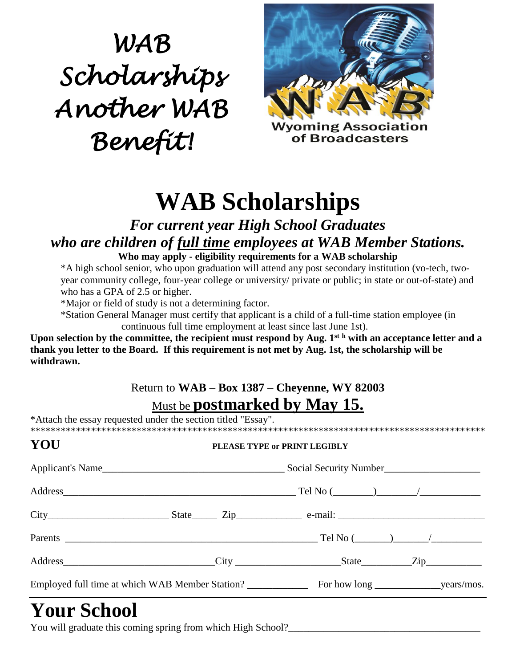# *WAB Scholarships Another WAB Benefit!*



**WAB Scholarships** 

#### *For current year High School Graduates who are children of full time employees at WAB Member Stations.*

**Who may apply - eligibility requirements for a WAB scholarship**

\*A high school senior, who upon graduation will attend any post secondary institution (vo-tech, twoyear community college, four-year college or university/ private or public; in state or out-of-state) and who has a GPA of 2.5 or higher.

\*Major or field of study is not a determining factor.

\*Station General Manager must certify that applicant is a child of a full-time station employee (in continuous full time employment at least since last June 1st).

**Upon selection by the committee, the recipient must respond by Aug. 1st <sup>h</sup> with an acceptance letter and a thank you letter to the Board. If this requirement is not met by Aug. 1st, the scholarship will be withdrawn.**

#### Return to **WAB – Box 1387 – Cheyenne, WY 82003** Must be **postmarked by May 15.**

\*Attach the essay requested under the section titled "Essay". \*\*\*\*\*\*\*\*\*\*\*\*\*\*\*\*\*\*\*\*\*\*\*\*\*\*\*\*\*\*\*\*\*\*\*\*\*\*\*\*\*\*\*\*\*\*\*\*\*\*\*\*\*\*\*\*\*\*\*\*\*\*\*\*\*\*\*\*\*\*\*\*\*\*\*\*\*\*\*\*\*\*\*\*\*\*\*\*\*\*

| Address Zip |
|-------------|
|             |
|             |

## **Your School**

You will graduate this coming spring from which High School?